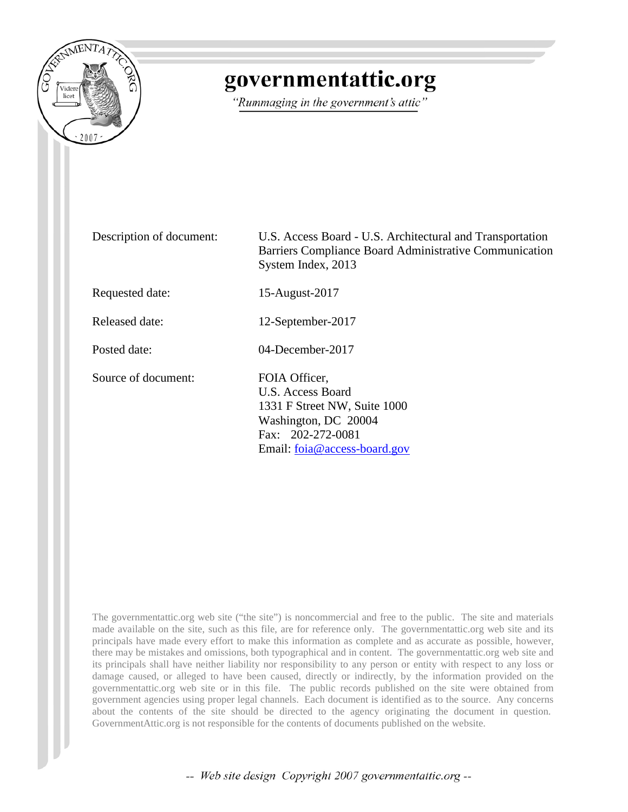

# governmentattic.org

"Rummaging in the government's attic"

Description of document: U.S. Access Board - U.S. Architectural and Transportation Barriers Compliance Board Administrative Communication System Index, 2013

Requested date: 15-August-2017

Released date: 12-September-2017

Posted date: 04-December-2017

Source of document: FOIA Officer.

U.S. Access Board 1331 F Street NW, Suite 1000 Washington, DC 20004 Fax: 202-272-0081 Email: [foia@access-board.gov](mailto:foia@access-board.gov?subject=FOIA%20Request)

The governmentattic.org web site ("the site") is noncommercial and free to the public. The site and materials made available on the site, such as this file, are for reference only. The governmentattic.org web site and its principals have made every effort to make this information as complete and as accurate as possible, however, there may be mistakes and omissions, both typographical and in content. The governmentattic.org web site and its principals shall have neither liability nor responsibility to any person or entity with respect to any loss or damage caused, or alleged to have been caused, directly or indirectly, by the information provided on the governmentattic.org web site or in this file. The public records published on the site were obtained from government agencies using proper legal channels. Each document is identified as to the source. Any concerns about the contents of the site should be directed to the agency originating the document in question. GovernmentAttic.org is not responsible for the contents of documents published on the website.

-- Web site design Copyright 2007 governmentattic.org --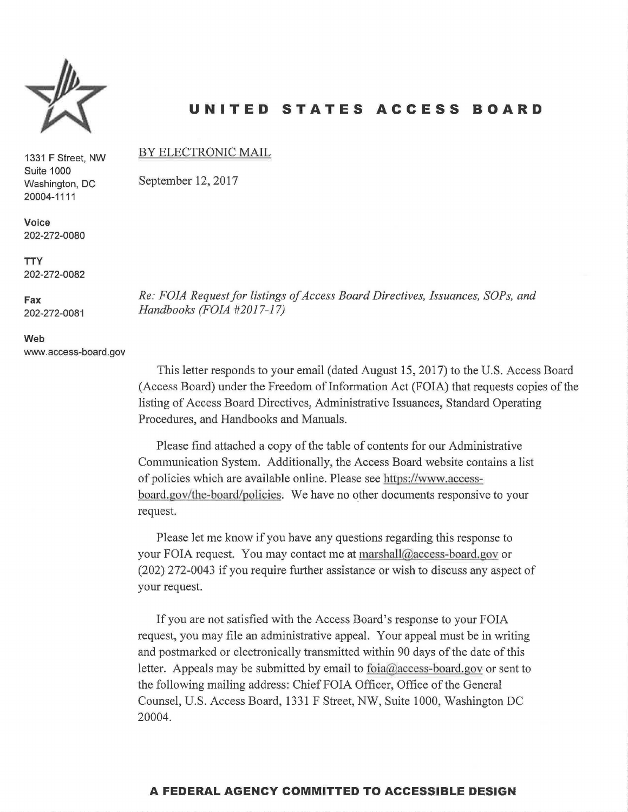

1331 **F** Street, NW

# **UNITED STATES ACCESS BOARD**

#### BY ELECTRONIC MAIL

September 12, 2017

*Re: FOIA Request for listings of Access Board Directives, Issuances, SOPs, and Handbooks (FOIA #2017-17)* 

This letter responds to your email (dated August 15, 2017) to the U.S. Access Board (Access Board) under the Freedom of Information Act (FOIA) that requests copies of the listing of Access Board Directives, Administrative Issuances, Standard Operating Procedures, and Handbooks and Manuals.

Please find attached a copy of the table of contents for our Administrative Communication System. Additionally, the Access Board website contains a list of policies which are available online. Please see https://www.accessboard.gov/the-board/policies. We have no other documents responsive to your request.

Please let me know if you have any questions regarding this response to your FOIA request. You may contact me at marsha1l@access-board.gov or (202) 272-0043 if you require further assistance or wish to discuss any aspect of your request.

If you are not satisfied with the Access Board's response to your FOIA request, you may file an administrative appeal. Your appeal must be in writing and postmarked or electronically transmitted within 90 days of the date of this letter. Appeals may be submitted by email to foia@access-board.gov or sent to the following mailing address: Chief FOIA Officer, Office of the General Counsel, U.S. Access Board, 1331 F Street, NW, Suite 1000, Washington DC 20004.

#### **Voice**  202-272-0080

Suite 1000 Washington, DC 20004-1111

**TTY**  202-272-0082

**Fax** 

202-272-0081

**Web**  www.access-board.gov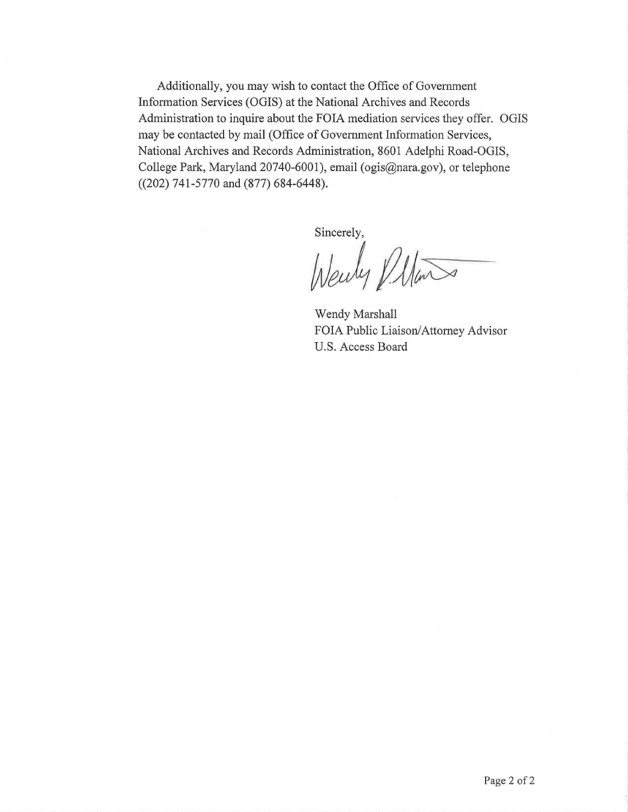Additionally, you may wish to contact the Office of Government Information Services (OGIS) at the National Archives and Records Administration to inquire about the FOIA mediation services they offer. OGIS may be contacted by mail (Office of Government Information Services, National Archives and Records Administration, 8601 Adelphi Road-OGIS, College Park, Maryland 20740-6001), email (ogis@nara.gov), or telephone ((202) 741-5770 and (877) 684-6448).

Sincerely,

Wenly *Della* 

Wendy Marshall FOIA Public Liaison/Attorney Advisor U.S. Access Board